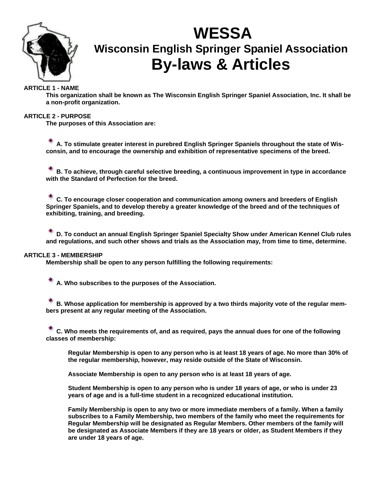

# **WESSA Wisconsin English Springer Spaniel Association By-laws & Articles**

# **ARTICLE 1 - NAME**

**This organization shall be known as The Wisconsin English Springer Spaniel Association, Inc. It shall be a non-profit organization.** 

## **ARTICLE 2 - PURPOSE**

**The purposes of this Association are:** 

**A. To stimulate greater interest in purebred English Springer Spaniels throughout the state of Wisconsin, and to encourage the ownership and exhibition of representative specimens of the breed.** 

**B. To achieve, through careful selective breeding, a continuous improvement in type in accordance with the Standard of Perfection for the breed.** 

**C. To encourage closer cooperation and communication among owners and breeders of English Springer Spaniels, and to develop thereby a greater knowledge of the breed and of the techniques of exhibiting, training, and breeding.** 

**D. To conduct an annual English Springer Spaniel Specialty Show under American Kennel Club rules and regulations, and such other shows and trials as the Association may, from time to time, determine.** 

## **ARTICLE 3 - MEMBERSHIP**

**Membership shall be open to any person fulfilling the following requirements:** 

**A. Who subscribes to the purposes of the Association.** 

**B. Whose application for membership is approved by a two thirds majority vote of the regular members present at any regular meeting of the Association.** 

**C. Who meets the requirements of, and as required, pays the annual dues for one of the following classes of membership:** 

**Regular Membership is open to any person who is at least 18 years of age. No more than 30% of the regular membership, however, may reside outside of the State of Wisconsin.** 

**Associate Membership is open to any person who is at least 18 years of age.** 

**Student Membership is open to any person who is under 18 years of age, or who is under 23 years of age and is a full-time student in a recognized educational institution.** 

**Family Membership is open to any two or more immediate members of a family. When a family subscribes to a Family Membership, two members of the family who meet the requirements for Regular Membership will be designated as Regular Members. Other members of the family will be designated as Associate Members if they are 18 years or older, as Student Members if they are under 18 years of age.**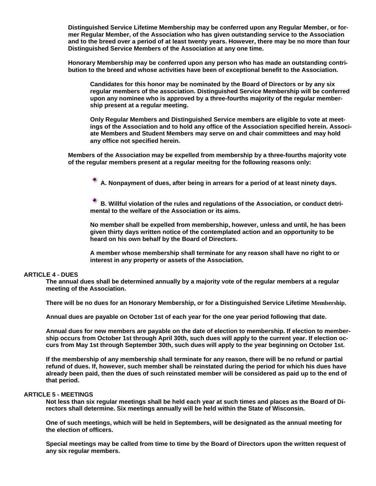**Distinguished Service Lifetime Membership may be conferred upon any Regular Member, or former Regular Member, of the Association who has given outstanding service to the Association and to the breed over a period of at least twenty years. However, there may be no more than four Distinguished Service Members of the Association at any one time.** 

**Honorary Membership may be conferred upon any person who has made an outstanding contribution to the breed and whose activities have been of exceptional benefit to the Association.** 

**Candidates for this honor may be nominated by the Board of Directors or by any six regular members of the association. Distinguished Service Membership will be conferred upon any nominee who is approved by a three-fourths majority of the regular membership present at a regular meeting.** 

**Only Regular Members and Distinguished Service members are eligible to vote at meetings of the Association and to hold any office of the Association specified herein. Associate Members and Student Members may serve on and chair committees and may hold any office not specified herein.** 

**Members of the Association may be expelled from membership by a three-fourths majority vote of the regular members present at a regular meeitng for the following reasons only:** 

**A. Nonpayment of dues, after being in arrears for a period of at least ninety days.** 

**B. Willful violation of the rules and regulations of the Association, or conduct detrimental to the welfare of the Association or its aims.** 

**No member shall be expelled from membership, however, unless and until, he has been given thirty days written notice of the contemplated action and an opportunity to be heard on his own behalf by the Board of Directors.** 

**A member whose membership shall terminate for any reason shall have no right to or interest in any property or assets of the Association.** 

## **ARTICLE 4 - DUES**

**The annual dues shall be determined annually by a majority vote of the regular members at a regular meeting of the Association.** 

**There will be no dues for an Honorary Membership, or for a Distinguished Service Lifetime Membership.** 

**Annual dues are payable on October 1st of each year for the one year period following that date.** 

**Annual dues for new members are payable on the date of election to membership. If election to membership occurs from October 1st through April 30th, such dues will apply to the current year. If election occurs from May 1st through September 30th, such dues will apply to the year beginning on October 1st.** 

**If the membership of any membership shall terminate for any reason, there will be no refund or partial refund of dues. If, however, such member shall be reinstated during the period for which his dues have already been paid, then the dues of such reinstated member will be considered as paid up to the end of that period.** 

## **ARTICLE 5 - MEETINGS**

**Not less than six regular meetings shall be held each year at such times and places as the Board of Directors shall determine. Six meetings annually will be held within the State of Wisconsin.** 

**One of such meetings, which will be held in Septembers, will be designated as the annual meeting for the election of officers.** 

**Special meetings may be called from time to time by the Board of Directors upon the written request of any six regular members.**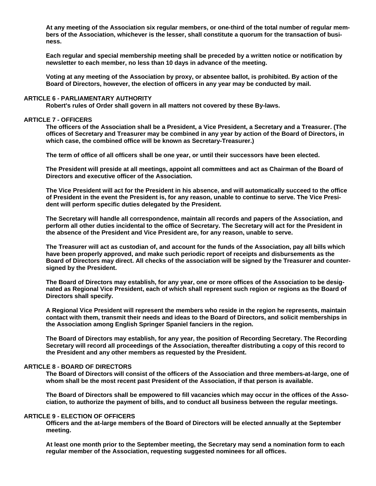**At any meeting of the Association six regular members, or one-third of the total number of regular members of the Association, whichever is the lesser, shall constitute a quorum for the transaction of business.** 

**Each regular and special membership meeting shall be preceded by a written notice or notification by newsletter to each member, no less than 10 days in advance of the meeting.** 

**Voting at any meeting of the Association by proxy, or absentee ballot, is prohibited. By action of the Board of Directors, however, the election of officers in any year may be conducted by mail.** 

## **ARTICLE 6 - PARLIAMENTARY AUTHORITY**

**Robert's rules of Order shall govern in all matters not covered by these By-laws.** 

#### **ARTICLE 7 - OFFICERS**

**The officers of the Association shall be a President, a Vice President, a Secretary and a Treasurer. (The offices of Secretary and Treasurer may be combined in any year by action of the Board of Directors, in which case, the combined office will be known as Secretary-Treasurer.)** 

**The term of office of all officers shall be one year, or until their successors have been elected.** 

**The President will preside at all meetings, appoint all committees and act as Chairman of the Board of Directors and executive officer of the Association.** 

**The Vice President will act for the President in his absence, and will automatically succeed to the office of President in the event the President is, for any reason, unable to continue to serve. The Vice President will perform specific duties delegated by the President.** 

**The Secretary will handle all correspondence, maintain all records and papers of the Association, and perform all other duties incidental to the office of Secretary. The Secretary will act for the President in the absence of the President and Vice President are, for any reason, unable to serve.** 

**The Treasurer will act as custodian of, and account for the funds of the Association, pay all bills which have been properly approved, and make such periodic report of receipts and disbursements as the Board of Directors may direct. All checks of the association will be signed by the Treasurer and countersigned by the President.** 

**The Board of Directors may establish, for any year, one or more offices of the Association to be designated as Regional Vice President, each of which shall represent such region or regions as the Board of Directors shall specify.** 

**A Regional Vice President will represent the members who reside in the region he represents, maintain contact with them, transmit their needs and ideas to the Board of Directors, and solicit memberships in the Association among English Springer Spaniel fanciers in the region.** 

**The Board of Directors may establish, for any year, the position of Recording Secretary. The Recording Secretary will record all proceedings of the Association, thereafter distributing a copy of this record to the President and any other members as requested by the President.** 

## **ARTICLE 8 - BOARD OF DIRECTORS**

**The Board of Directors will consist of the officers of the Association and three members-at-large, one of whom shall be the most recent past President of the Association, if that person is available.** 

**The Board of Directors shall be empowered to fill vacancies which may occur in the offices of the Association, to authorize the payment of bills, and to conduct all business between the regular meetings.** 

## **ARTICLE 9 - ELECTION OF OFFICERS**

**Officers and the at-large members of the Board of Directors will be elected annually at the September meeting.** 

**At least one month prior to the September meeting, the Secretary may send a nomination form to each regular member of the Association, requesting suggested nominees for all offices.**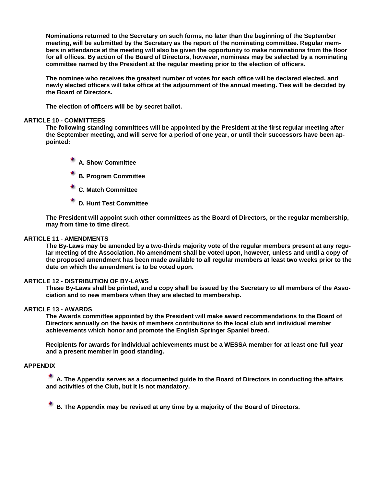**Nominations returned to the Secretary on such forms, no later than the beginning of the September meeting, will be submitted by the Secretary as the report of the nominating committee. Regular members in attendance at the meeting will also be given the opportunity to make nominations from the floor for all offices. By action of the Board of Directors, however, nominees may be selected by a nominating committee named by the President at the regular meeting prior to the election of officers.** 

**The nominee who receives the greatest number of votes for each office will be declared elected, and newly elected officers will take office at the adjournment of the annual meeting. Ties will be decided by the Board of Directors.** 

**The election of officers will be by secret ballot.** 

#### **ARTICLE 10 - COMMITTEES**

**The following standing committees will be appointed by the President at the first regular meeting after the September meeting, and will serve for a period of one year, or until their successors have been appointed:** 

- **A. Show Committee**
- **B. Program Committee**
- **C. Match Committee**
- **D. Hunt Test Committee**

**The President will appoint such other committees as the Board of Directors, or the regular membership, may from time to time direct.** 

#### **ARTICLE 11 - AMENDMENTS**

**The By-Laws may be amended by a two-thirds majority vote of the regular members present at any regular meeting of the Association. No amendment shall be voted upon, however, unless and until a copy of the proposed amendment has been made available to all regular members at least two weeks prior to the date on which the amendment is to be voted upon.** 

#### **ARTICLE 12 - DISTRIBUTION OF BY-LAWS**

**These By-Laws shall be printed, and a copy shall be issued by the Secretary to all members of the Association and to new members when they are elected to membership.** 

#### **ARTICLE 13 - AWARDS**

**The Awards committee appointed by the President will make award recommendations to the Board of Directors annually on the basis of members contributions to the local club and individual member achievements which honor and promote the English Springer Spaniel breed.** 

**Recipients for awards for individual achievements must be a WESSA member for at least one full year and a present member in good standing.** 

## **APPENDIX**

**A. The Appendix serves as a documented guide to the Board of Directors in conducting the affairs and activities of the Club, but it is not mandatory.** 

**B. The Appendix may be revised at any time by a majority of the Board of Directors.**